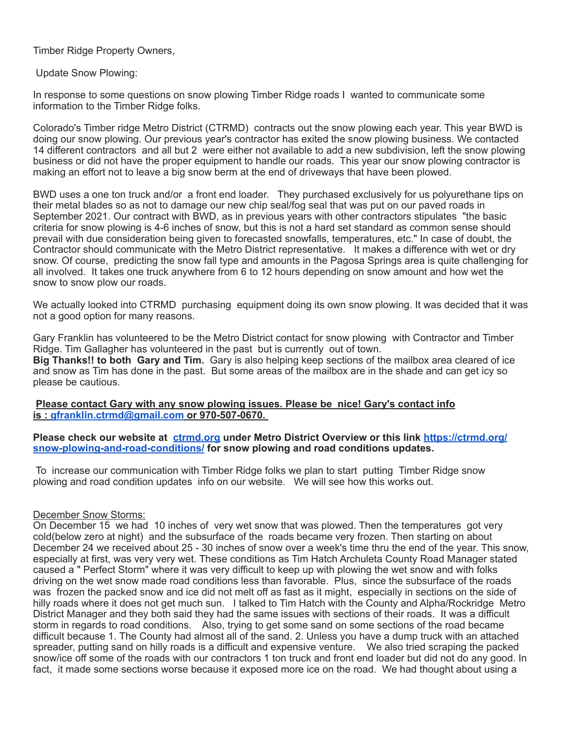Timber Ridge Property Owners,

Update Snow Plowing:

In response to some questions on snow plowing Timber Ridge roads I wanted to communicate some information to the Timber Ridge folks.

Colorado's Timber ridge Metro District (CTRMD) contracts out the snow plowing each year. This year BWD is doing our snow plowing. Our previous year's contractor has exited the snow plowing business. We contacted 14 different contractors and all but 2 were either not available to add a new subdivision, left the snow plowing business or did not have the proper equipment to handle our roads. This year our snow plowing contractor is making an effort not to leave a big snow berm at the end of driveways that have been plowed.

BWD uses a one ton truck and/or a front end loader. They purchased exclusively for us polyurethane tips on their metal blades so as not to damage our new chip seal/fog seal that was put on our paved roads in September 2021. Our contract with BWD, as in previous years with other contractors stipulates "the basic criteria for snow plowing is 4-6 inches of snow, but this is not a hard set standard as common sense should prevail with due consideration being given to forecasted snowfalls, temperatures, etc." In case of doubt, the Contractor should communicate with the Metro District representative. It makes a difference with wet or dry snow. Of course, predicting the snow fall type and amounts in the Pagosa Springs area is quite challenging for all involved. It takes one truck anywhere from 6 to 12 hours depending on snow amount and how wet the snow to snow plow our roads.

We actually looked into CTRMD purchasing equipment doing its own snow plowing. It was decided that it was not a good option for many reasons.

Gary Franklin has volunteered to be the Metro District contact for snow plowing with Contractor and Timber Ridge. Tim Gallagher has volunteered in the past but is currently out of town. **Big Thanks!! to both Gary and Tim.** Gary is also helping keep sections of the mailbox area cleared of ice and snow as Tim has done in the past. But some areas of the mailbox are in the shade and can get icy so please be cautious.

## **Please contact Gary with any snow plowing issues. Please be nice! Gary's contact info is : [gfranklin.ctrmd@gmail.com](mailto:gfranklin.ctrmd@gmail.com) or 970-507-0670.**

**Please check our website at [ctrmd.org](http://ctrmd.org/) under Metro District Overview or this link [https://ctrmd.org/](https://ctrmd.org/snow-plowing-and-road-conditions/) [snow-plowing-and-road-conditions/](https://ctrmd.org/snow-plowing-and-road-conditions/) for snow plowing and road conditions updates.**

 To increase our communication with Timber Ridge folks we plan to start putting Timber Ridge snow plowing and road condition updates info on our website. We will see how this works out.

## December Snow Storms:

On December 15 we had 10 inches of very wet snow that was plowed. Then the temperatures got very cold(below zero at night) and the subsurface of the roads became very frozen. Then starting on about December 24 we received about 25 - 30 inches of snow over a week's time thru the end of the year. This snow, especially at first, was very very wet. These conditions as Tim Hatch Archuleta County Road Manager stated caused a " Perfect Storm" where it was very difficult to keep up with plowing the wet snow and with folks driving on the wet snow made road conditions less than favorable. Plus, since the subsurface of the roads was frozen the packed snow and ice did not melt off as fast as it might, especially in sections on the side of hilly roads where it does not get much sun. I talked to Tim Hatch with the County and Alpha/Rockridge Metro District Manager and they both said they had the same issues with sections of their roads. It was a difficult storm in regards to road conditions. Also, trying to get some sand on some sections of the road became difficult because 1. The County had almost all of the sand. 2. Unless you have a dump truck with an attached spreader, putting sand on hilly roads is a difficult and expensive venture. We also tried scraping the packed snow/ice off some of the roads with our contractors 1 ton truck and front end loader but did not do any good. In fact, it made some sections worse because it exposed more ice on the road. We had thought about using a